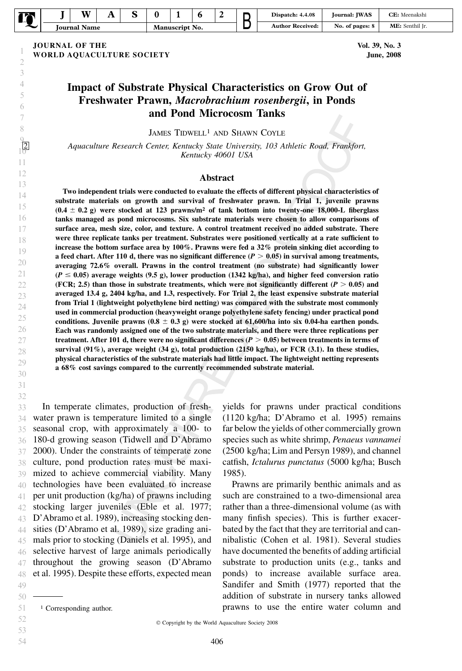| - |                     | <b>XX7</b> | u<br>. . |                |  |  |  |                     | Dispatch: 4.4.08                        | <b>Iournal: IWAS</b> | CE: Meenakshi |
|---|---------------------|------------|----------|----------------|--|--|--|---------------------|-----------------------------------------|----------------------|---------------|
|   | <b>Journal Name</b> |            |          | Manuscript No. |  |  |  | Received:<br>Author | $\ddot{\phantom{1}}$<br>No. of pages: 8 | ME: Senthil Ir.      |               |

JOURNAL OF THE WORLD AQUACULTURE SOCIETY Vol. 39, No. 3 June, 2008

# Impact of Substrate Physical Characteristics on Grow Out of Freshwater Prawn, Macrobrachium rosenbergii, in Ponds and Pond Microcosm Tanks

JAMES TIDWELL1 AND SHAWN COYLE

Aquaculture Research Center, Kentucky State University, 103 Athletic Road, Frankfort, Kentucky 40601 USA

#### Abstract

Two independent trials were conducted to evaluate the effects of different physical characteristics of substrate materials on growth and survival of freshwater prawn. In Trial 1, juvenile prawns  $(0.4 \pm 0.2 \text{ g})$  were stocked at 123 prawns/m<sup>2</sup> of tank bottom into twenty-one 18,000-L fiberglass tanks managed as pond microcosms. Six substrate materials were chosen to allow comparisons of surface area, mesh size, color, and texture. A control treatment received no added substrate. There were three replicate tanks per treatment. Substrates were positioned vertically at a rate sufficient to increase the bottom surface area by 100%. Prawns were fed a 32% protein sinking diet according to a feed chart. After 110 d, there was no significant difference  $(P > 0.05)$  in survival among treatments, averaging 72.6% overall. Prawns in the control treatment (no substrate) had significantly lower  $(P \le 0.05)$  average weights (9.5 g), lower production (1342 kg/ha), and higher feed conversion ratio (FCR; 2.5) than those in substrate treatments, which were not significantly different ( $P > 0.05$ ) and averaged 13.4 g, 2404 kg/ha, and 1.3, respectively. For Trial 2, the least expensive substrate material from Trial 1 (lightweight polyethylene bird netting) was compared with the substrate most commonly used in commercial production (heavyweight orange polyethylene safety fencing) under practical pond conditions. Juvenile prawns  $(0.8 \pm 0.3 \text{ g})$  were stocked at 61,600/ha into six 0.04-ha earthen ponds. Each was randomly assigned one of the two substrate materials, and there were three replications per treatment. After 101 d, there were no significant differences ( $P > 0.05$ ) between treatments in terms of survival  $(91\%)$ , average weight  $(34 g)$ , total production  $(2150 kg/ha)$ , or FCR  $(3.1)$ . In these studies, physical characteristics of the substrate materials had little impact. The lightweight netting represents a 68% cost savings compared to the currently recommended substrate material.

In temperate climates, production of freshwater prawn is temperature limited to a single seasonal crop, with approximately a 100- to 180-d growing season (Tidwell and D'Abramo 2000). Under the constraints of temperate zone culture, pond production rates must be maximized to achieve commercial viability. Many technologies have been evaluated to increase per unit production (kg/ha) of prawns including stocking larger juveniles (Eble et al. 1977; D'Abramo et al. 1989), increasing stocking densities (D'Abramo et al. 1989), size grading animals prior to stocking (Daniels et al. 1995), and selective harvest of large animals periodically throughout the growing season (D'Abramo et al. 1995). Despite these efforts, expected mean 43 44 45 46 47 48 49

yields for prawns under practical conditions (1120 kg/ha; D'Abramo et al. 1995) remains far below the yields of other commercially grown species such as white shrimp, Penaeus vannamei (2500 kg/ha; Lim and Persyn 1989), and channel catfish, Ictalurus punctatus (5000 kg/ha; Busch 1985).

Prawns are primarily benthic animals and as such are constrained to a two-dimensional area rather than a three-dimensional volume (as with many finfish species). This is further exacerbated by the fact that they are territorial and cannibalistic (Cohen et al. 1981). Several studies have documented the benefits of adding artificial substrate to production units (e.g., tanks and ponds) to increase available surface area. Sandifer and Smith (1977) reported that the addition of substrate in nursery tanks allowed <sup>1</sup> Corresponding author. prawns to use the entire water column and

50

<sup>51</sup>

 $©$  Copyright by the World Aquaculture Society 2008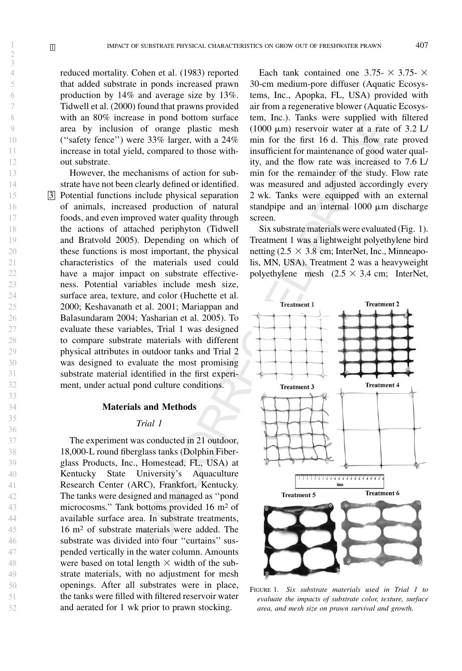reduced mortality. Cohen et al. (1983) reported that added substrate in ponds increased prawn production by 14% and average size by 13%. Tidwell et al. (2000) found that prawns provided with an 80% increase in pond bottom surface area by inclusion of orange plastic mesh (''safety fence'') were 33% larger, with a 24% increase in total yield, compared to those without substrate.

However, the mechanisms of action for substrate have not been clearly defined or identified. 3 Potential functions include physical separation of animals, increased production of natural foods, and even improved water quality through the actions of attached periphyton (Tidwell and Bratvold 2005). Depending on which of these functions is most important, the physical characteristics of the materials used could have a major impact on substrate effectiveness. Potential variables include mesh size, surface area, texture, and color (Huchette et al. 2000; Keshavanath et al. 2001; Mariappan and Balasundaram 2004; Yasharian et al. 2005). To evaluate these variables, Trial 1 was designed to compare substrate materials with different physical attributes in outdoor tanks and Trial 2 was designed to evaluate the most promising substrate material identified in the first experiment, under actual pond culture conditions.

# Materials and Methods

# Trial 1

The experiment was conducted in 21 outdoor, 18,000-L round fiberglass tanks (Dolphin Fiberglass Products, Inc., Homestead, FL, USA) at Kentucky State University's Aquaculture Research Center (ARC), Frankfort, Kentucky. The tanks were designed and managed as ''pond microcosms.'' Tank bottoms provided 16 m2 of available surface area. In substrate treatments, 16 m2 of substrate materials were added. The substrate was divided into four ''curtains'' suspended vertically in the water column. Amounts were based on total length  $\times$  width of the substrate materials, with no adjustment for mesh openings. After all substrates were in place, the tanks were filled with filtered reservoir water and aerated for 1 wk prior to prawn stocking.

Each tank contained one 3.75-  $\times$  3.75-  $\times$ 30-cm medium-pore diffuser (Aquatic Ecosystems, Inc., Apopka, FL, USA) provided with air from a regenerative blower (Aquatic Ecosystem, Inc.). Tanks were supplied with filtered (1000  $\mu$ m) reservoir water at a rate of 3.2 L/ min for the first 16 d. This flow rate proved insufficient for maintenance of good water quality, and the flow rate was increased to 7.6 L/ min for the remainder of the study. Flow rate was measured and adjusted accordingly every 2 wk. Tanks were equipped with an external standpipe and an internal  $1000 \mu m$  discharge screen.

Six substrate materials were evaluated (Fig. 1). Treatment 1 was a lightweight polyethylene bird netting  $(2.5 \times 3.8 \text{ cm})$ ; InterNet, Inc., Minneapolis, MN, USA). Treatment 2 was a heavyweight polyethylene mesh  $(2.5 \times 3.4 \text{ cm})$ ; InterNet,



FIGURE 1. Six substrate materials used in Trial 1 to evaluate the impacts of substrate color, texture, surface area, and mesh size on prawn survival and growth.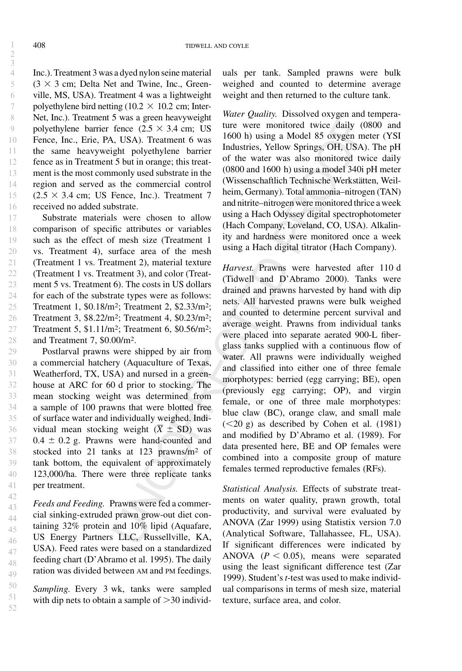Inc.). Treatment 3 was a dyed nylon seine material  $(3 \times 3$  cm; Delta Net and Twine, Inc., Greenville, MS, USA). Treatment 4 was a lightweight polyethylene bird netting ( $10.2 \times 10.2$  cm; Inter-Net, Inc.). Treatment 5 was a green heavyweight polyethylene barrier fence  $(2.5 \times 3.4 \text{ cm})$ ; US Fence, Inc., Erie, PA, USA). Treatment 6 was the same heavyweight polyethylene barrier fence as in Treatment 5 but in orange; this treatment is the most commonly used substrate in the region and served as the commercial control  $(2.5 \times 3.4 \text{ cm}; \text{ US Fence}, \text{ Inc.}).$  Treatment 7 received no added substrate.

Substrate materials were chosen to allow comparison of specific attributes or variables such as the effect of mesh size (Treatment 1 vs. Treatment 4), surface area of the mesh (Treatment 1 vs. Treatment 2), material texture (Treatment 1 vs. Treatment 3), and color (Treatment 5 vs. Treatment 6). The costs in US dollars for each of the substrate types were as follows: Treatment 1, \$0.18/m2; Treatment 2, \$2.33/m2; Treatment 3, \$8.22/m2; Treatment 4, \$0.23/m2; Treatment 5, \$1.11/m2; Treatment 6, \$0.56/m2; and Treatment 7, \$0.00/m2. 17 18 19 20 21 22 23 24 25 26 27 28

Postlarval prawns were shipped by air from a commercial hatchery (Aquaculture of Texas, Weatherford, TX, USA) and nursed in a greenhouse at ARC for 60 d prior to stocking. The mean stocking weight was determined from a sample of 100 prawns that were blotted free of surface water and individually weighed. Individual mean stocking weight ( $\overline{X} \pm SD$ ) was  $0.4 \pm 0.2$  g. Prawns were hand-counted and stocked into 21 tanks at 123 prawns/m2 of tank bottom, the equivalent of approximately 123,000/ha. There were three replicate tanks per treatment. 29 30 31 32 33 34 35 36 37 38 39 40 41

Feeds and Feeding. Prawns were fed a commercial sinking-extruded prawn grow-out diet containing 32% protein and 10% lipid (Aquafare, US Energy Partners LLC, Russellville, KA, USA). Feed rates were based on a standardized feeding chart (D'Abramo et al. 1995). The daily ration was divided between AM and PM feedings. 42 43 44 45 46 47 48 49

Sampling. Every 3 wk, tanks were sampled with dip nets to obtain a sample of  $>30$  individ-

50 51 52 uals per tank. Sampled prawns were bulk weighed and counted to determine average weight and then returned to the culture tank.

Water Quality. Dissolved oxygen and temperature were monitored twice daily (0800 and 1600 h) using a Model 85 oxygen meter (YSI Industries, Yellow Springs, OH, USA). The pH of the water was also monitored twice daily (0800 and 1600 h) using a model 340i pH meter (Wissenschaftlich Technische Werkstätten, Weilheim, Germany). Total ammonia–nitrogen (TAN) and nitrite–nitrogen were monitored thrice a week using a Hach Odyssey digital spectrophotometer (Hach Company, Loveland, CO, USA). Alkalinity and hardness were monitored once a week using a Hach digital titrator (Hach Company).

Harvest. Prawns were harvested after 110 d (Tidwell and D'Abramo 2000). Tanks were drained and prawns harvested by hand with dip nets. All harvested prawns were bulk weighed and counted to determine percent survival and average weight. Prawns from individual tanks were placed into separate aerated 900-L fiberglass tanks supplied with a continuous flow of water. All prawns were individually weighed and classified into either one of three female morphotypes: berried (egg carrying; BE), open (previously egg carrying; OP), and virgin female, or one of three male morphotypes: blue claw (BC), orange claw, and small male  $(<20 \text{ g})$  as described by Cohen et al. (1981) and modified by D'Abramo et al. (1989). For data presented here, BE and OP females were combined into a composite group of mature females termed reproductive females (RFs).

Statistical Analysis. Effects of substrate treatments on water quality, prawn growth, total productivity, and survival were evaluated by ANOVA (Zar 1999) using Statistix version 7.0 (Analytical Software, Tallahassee, FL, USA). If significant differences were indicated by ANOVA ( $P < 0.05$ ), means were separated using the least significant difference test (Zar 1999). Student's t-test was used to make individual comparisons in terms of mesh size, material texture, surface area, and color.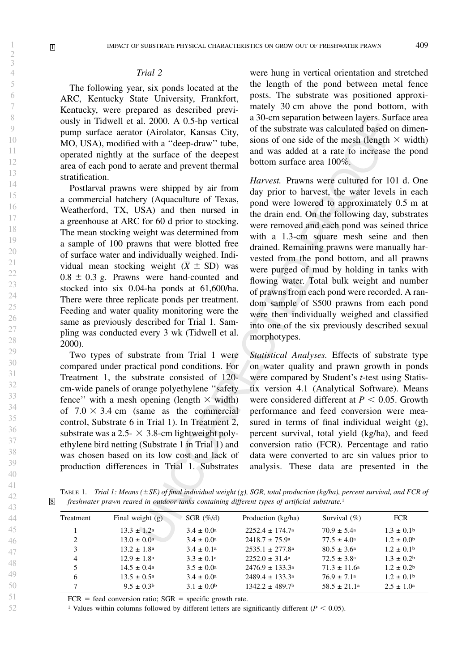## Trial 2

The following year, six ponds located at the ARC, Kentucky State University, Frankfort, Kentucky, were prepared as described previously in Tidwell et al. 2000. A 0.5-hp vertical pump surface aerator (Airolator, Kansas City, MO, USA), modified with a ''deep-draw'' tube, operated nightly at the surface of the deepest area of each pond to aerate and prevent thermal stratification.

Postlarval prawns were shipped by air from a commercial hatchery (Aquaculture of Texas, Weatherford, TX, USA) and then nursed in a greenhouse at ARC for 60 d prior to stocking. The mean stocking weight was determined from a sample of 100 prawns that were blotted free of surface water and individually weighed. Individual mean stocking weight  $(X \pm SD)$  was  $0.8 \pm 0.3$  g. Prawns were hand-counted and stocked into six 0.04-ha ponds at 61,600/ha. There were three replicate ponds per treatment. Feeding and water quality monitoring were the same as previously described for Trial 1. Sampling was conducted every 3 wk (Tidwell et al. 2000).

Two types of substrate from Trial 1 were compared under practical pond conditions. For Treatment 1, the substrate consisted of 120 cm-wide panels of orange polyethylene ''safety fence" with a mesh opening (length  $\times$  width) of  $7.0 \times 3.4$  cm (same as the commercial control, Substrate 6 in Trial 1). In Treatment 2, substrate was a 2.5-  $\times$  3.8-cm lightweight polyethylene bird netting (Substrate 1 in Trial 1) and was chosen based on its low cost and lack of production differences in Trial 1. Substrates

were hung in vertical orientation and stretched the length of the pond between metal fence posts. The substrate was positioned approximately 30 cm above the pond bottom, with a 30-cm separation between layers. Surface area of the substrate was calculated based on dimensions of one side of the mesh (length  $\times$  width) and was added at a rate to increase the pond bottom surface area 100%.

Harvest. Prawns were cultured for 101 d. One day prior to harvest, the water levels in each pond were lowered to approximately 0.5 m at the drain end. On the following day, substrates were removed and each pond was seined thrice with a 1.3-cm square mesh seine and then drained. Remaining prawns were manually harvested from the pond bottom, and all prawns were purged of mud by holding in tanks with flowing water. Total bulk weight and number of prawns from each pond were recorded. A random sample of \$500 prawns from each pond were then individually weighed and classified into one of the six previously described sexual morphotypes.

Statistical Analyses. Effects of substrate type on water quality and prawn growth in ponds were compared by Student's *t*-test using Statistix version 4.1 (Analytical Software). Means were considered different at  $P < 0.05$ . Growth performance and feed conversion were measured in terms of final individual weight (g), percent survival, total yield (kg/ha), and feed conversion ratio (FCR). Percentage and ratio data were converted to arc sin values prior to analysis. These data are presented in the

TABLE 1. Trial 1: Means ( $\pm SE$ ) of final individual weight (g), SGR, total production (kg/ha), percent survival, and FCR of 8 freshwater prawn reared in outdoor tanks containing different types of artificial substrate.1

| Treatment | Final weight $(g)$     | SGR $(\% / d)$        | Production (kg/ha)              | Survival $(\% )$        | <b>FCR</b>            |
|-----------|------------------------|-----------------------|---------------------------------|-------------------------|-----------------------|
|           | $13.3 \pm 1.2^{\circ}$ | $3.4 \pm 0.0^{\circ}$ | $2252.4 \pm 174.7$ <sup>a</sup> | $70.9 \pm 5.4^{\circ}$  | $1.3 \pm 0.1^{\circ}$ |
| 2         | $13.0 \pm 0.0^{\circ}$ | $3.4 \pm 0.0^{\circ}$ | $2418.7 \pm 75.9^{\circ}$       | $77.5 \pm 4.0^{\circ}$  | $1.2 \pm 0.0^{\rm b}$ |
| 3         | $13.2 \pm 1.8^{\rm a}$ | $3.4 \pm 0.1^{\circ}$ | $2535.1 \pm 277.8^{\text{a}}$   | $80.5 \pm 3.6^{\circ}$  | $1.2 \pm 0.1^{\rm b}$ |
| 4         | $12.9 \pm 1.8^{\circ}$ | $3.3 \pm 0.1^{\circ}$ | $2252.0 \pm 31.4^{\circ}$       | $72.5 \pm 3.8^{\circ}$  | $1.3 \pm 0.2^{\rm b}$ |
| 5         | $14.5 \pm 0.4^{\circ}$ | $3.5 \pm 0.0^{\circ}$ | $2476.9 \pm 133.3^{\circ}$      | $71.3 \pm 11.6^{\circ}$ | $1.2 \pm 0.2^{\rm b}$ |
| 6         | $13.5 \pm 0.5^{\circ}$ | $3.4 \pm 0.0^{\circ}$ | $2489.4 \pm 133.3^{\circ}$      | $76.9 \pm 7.1a$         | $1.2 \pm 0.1$         |
|           | $9.5 \pm 0.3^{\rm b}$  | $3.1 \pm 0.0^{\rm b}$ | $1342.2 \pm 489.7$ <sup>b</sup> | $58.5 \pm 21.1^{\circ}$ | $2.5 \pm 1.0^{\circ}$ |

 $FCR = feed conversion ratio; SGR = specific growth rate.$ 

<sup>1</sup> Values within columns followed by different letters are significantly different ( $P < 0.05$ ).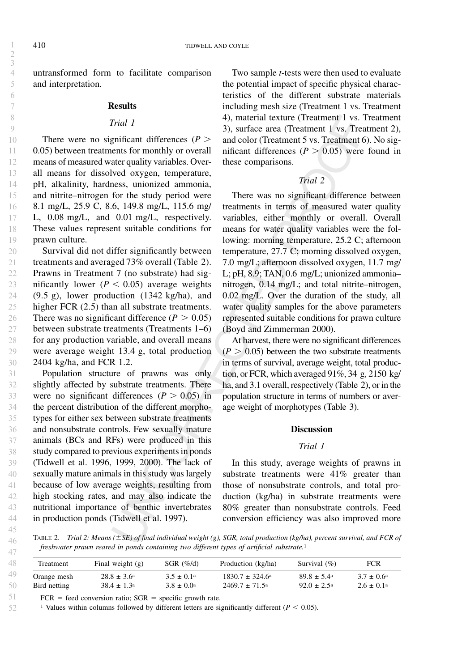45 46 47

52

untransformed form to facilitate comparison and interpretation.

### **Results**

#### Trial 1

There were no significant differences ( $P$  > 0.05) between treatments for monthly or overall means of measured water quality variables. Overall means for dissolved oxygen, temperature, pH, alkalinity, hardness, unionized ammonia, and nitrite–nitrogen for the study period were 8.1 mg/L, 25.9 C, 8.6, 149.8 mg/L, 115.6 mg/ L, 0.08 mg/L, and 0.01 mg/L, respectively. These values represent suitable conditions for prawn culture.

Survival did not differ significantly between treatments and averaged 73% overall (Table 2). Prawns in Treatment 7 (no substrate) had significantly lower ( $P < 0.05$ ) average weights (9.5 g), lower production (1342 kg/ha), and higher FCR  $(2.5)$  than all substrate treatments. There was no significant difference ( $P > 0.05$ ) between substrate treatments (Treatments 1–6) for any production variable, and overall means were average weight 13.4 g, total production 2404 kg/ha, and FCR 1.2. 20 21 22 23 24 25 26 27 28 29 30

Population structure of prawns was only slightly affected by substrate treatments. There were no significant differences ( $P > 0.05$ ) in the percent distribution of the different morphotypes for either sex between substrate treatments and nonsubstrate controls. Few sexually mature animals (BCs and RFs) were produced in this study compared to previous experiments in ponds (Tidwell et al. 1996, 1999, 2000). The lack of sexually mature animals in this study was largely because of low average weights, resulting from high stocking rates, and may also indicate the nutritional importance of benthic invertebrates in production ponds (Tidwell et al. 1997). 31 32 33 34 35 36 37 38 39 40 41 42 43 44

Two sample t-tests were then used to evaluate the potential impact of specific physical characteristics of the different substrate materials including mesh size (Treatment 1 vs. Treatment 4), material texture (Treatment 1 vs. Treatment 3), surface area (Treatment 1 vs. Treatment 2), and color (Treatment 5 vs. Treatment 6). No significant differences ( $P > 0.05$ ) were found in these comparisons.

# Trial 2

There was no significant difference between treatments in terms of measured water quality variables, either monthly or overall. Overall means for water quality variables were the following: morning temperature, 25.2 C; afternoon temperature, 27.7 C; morning dissolved oxygen, 7.0 mg/L; afternoon dissolved oxygen, 11.7 mg/ L; pH, 8.9; TAN, 0.6 mg/L; unionized ammonia– nitrogen, 0.14 mg/L; and total nitrite–nitrogen, 0.02 mg/L. Over the duration of the study, all water quality samples for the above parameters represented suitable conditions for prawn culture (Boyd and Zimmerman 2000).

At harvest, there were no significant differences  $(P > 0.05)$  between the two substrate treatments in terms of survival, average weight, total production, or FCR, which averaged 91%, 34 g, 2150 kg/ ha, and 3.1 overall, respectively (Table 2), or in the population structure in terms of numbers or average weight of morphotypes (Table 3).

## **Discussion**

## Trial 1

In this study, average weights of prawns in substrate treatments were 41% greater than those of nonsubstrate controls, and total production (kg/ha) in substrate treatments were 80% greater than nonsubstrate controls. Feed conversion efficiency was also improved more

TABLE 2. Trial 2: Means ( $\pm$ SE) of final individual weight (g), SGR, total production (kg/ha), percent survival, and FCR of freshwater prawn reared in ponds containing two different types of artificial substrate.1

| Treatment    | Final weight $(g)$     | SGR $(\% / d)$        | Production (kg/ha)         | Survival $(\% )$       | <b>FCR</b>            |
|--------------|------------------------|-----------------------|----------------------------|------------------------|-----------------------|
| Orange mesh  | $28.8 \pm 3.6^{\circ}$ | $3.5 \pm 0.1a$        | $1830.7 \pm 324.6^{\circ}$ | $89.8 \pm 5.4^{\circ}$ | $3.7 \pm 0.6^{\circ}$ |
| Bird netting | $38.4 \pm 1.3^{\circ}$ | $3.8 \pm 0.0^{\circ}$ | $2469.7 \pm 71.5^{\circ}$  | $92.0 \pm 2.5^{\circ}$ | $2.6 \pm 0.1^{\circ}$ |

 $FCR = feed conversion ratio; SGR = specific growth rate.$ 

<sup>1</sup> Values within columns followed by different letters are significantly different ( $P < 0.05$ ).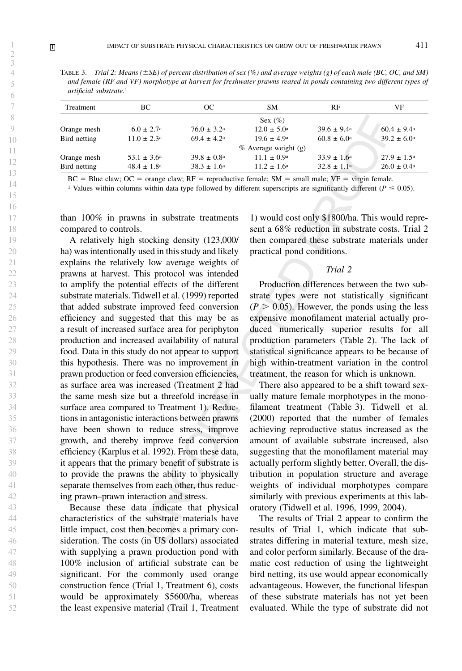TABLE 3. Trial 2: Means ( $\pm$ SE) of percent distribution of sex (%) and average weights (g) of each male (BC, OC, and SM) and female (RF and VF) morphotype at harvest for freshwater prawns reared in ponds containing two different types of artificial substrate.1

| Treatment    | BC                          | ОC                     | <b>SM</b>              | RF                     | VF                          |
|--------------|-----------------------------|------------------------|------------------------|------------------------|-----------------------------|
|              |                             |                        | Sex $(\%)$             |                        |                             |
| Orange mesh  | $6.0 \pm 2.7^{\circ}$       | $76.0 \pm 3.2^{\circ}$ | $12.0 \pm 5.0^{\circ}$ | $39.6 \pm 9.4^{\circ}$ | $60.4 \pm 9.4$ <sup>a</sup> |
| Bird netting | $11.0 \pm 2.3^{\circ}$      | $69.4 \pm 4.2^{\circ}$ | $19.6 \pm 4.9^{\circ}$ | $60.8 \pm 6.0^{\circ}$ | $39.2 \pm 6.0^{\circ}$      |
|              |                             |                        | % Average weight (g)   |                        |                             |
| Orange mesh  | 53.1 $\pm$ 3.6 <sup>a</sup> | $39.8 \pm 0.8^{\circ}$ | $11.1 \pm 0.9^{\circ}$ | $33.9 \pm 1.6^{\circ}$ | $27.9 \pm 1.5^{\circ}$      |
| Bird netting | $48.4 \pm 1.8^{\rm a}$      | $38.3 \pm 1.6^{\circ}$ | $11.2 \pm 1.6^{\circ}$ | $32.8 \pm 1.1^{\circ}$ | $26.0 \pm 0.4^{\circ}$      |

 $BC = Blue$  claw;  $OC = orange$  claw;  $RF = reproductive$  female;  $SM = small$  male;  $VF = virgin$  female.

<sup>1</sup> Values within columns within data type followed by different superscripts are significantly different ( $P \le 0.05$ ).

than 100% in prawns in substrate treatments compared to controls.

A relatively high stocking density (123,000/ ha) was intentionally used in this study and likely explains the relatively low average weights of prawns at harvest. This protocol was intended to amplify the potential effects of the different substrate materials. Tidwell et al. (1999) reported that added substrate improved feed conversion efficiency and suggested that this may be as a result of increased surface area for periphyton production and increased availability of natural food. Data in this study do not appear to support this hypothesis. There was no improvement in prawn production or feed conversion efficiencies, as surface area was increased (Treatment 2 had the same mesh size but a threefold increase in surface area compared to Treatment 1). Reductions in antagonistic interactions between prawns have been shown to reduce stress, improve growth, and thereby improve feed conversion efficiency (Karplus et al. 1992). From these data, it appears that the primary benefit of substrate is to provide the prawns the ability to physically separate themselves from each other, thus reducing prawn–prawn interaction and stress.

Because these data indicate that physical characteristics of the substrate materials have little impact, cost then becomes a primary consideration. The costs (in US dollars) associated with supplying a prawn production pond with 100% inclusion of artificial substrate can be significant. For the commonly used orange construction fence (Trial 1, Treatment 6), costs would be approximately \$5600/ha, whereas the least expensive material (Trail 1, Treatment

1) would cost only \$1800/ha. This would represent a 68% reduction in substrate costs. Trial 2 then compared these substrate materials under practical pond conditions.

# Trial 2

Production differences between the two substrate types were not statistically significant  $(P > 0.05)$ . However, the ponds using the less expensive monofilament material actually produced numerically superior results for all production parameters (Table 2). The lack of statistical significance appears to be because of high within-treatment variation in the control treatment, the reason for which is unknown.

There also appeared to be a shift toward sexually mature female morphotypes in the monofilament treatment (Table 3). Tidwell et al. (2000) reported that the number of females achieving reproductive status increased as the amount of available substrate increased, also suggesting that the monofilament material may actually perform slightly better. Overall, the distribution in population structure and average weights of individual morphotypes compare similarly with previous experiments at this laboratory (Tidwell et al. 1996, 1999, 2004).

The results of Trial 2 appear to confirm the results of Trial 1, which indicate that substrates differing in material texture, mesh size, and color perform similarly. Because of the dramatic cost reduction of using the lightweight bird netting, its use would appear economically advantageous. However, the functional lifespan of these substrate materials has not yet been evaluated. While the type of substrate did not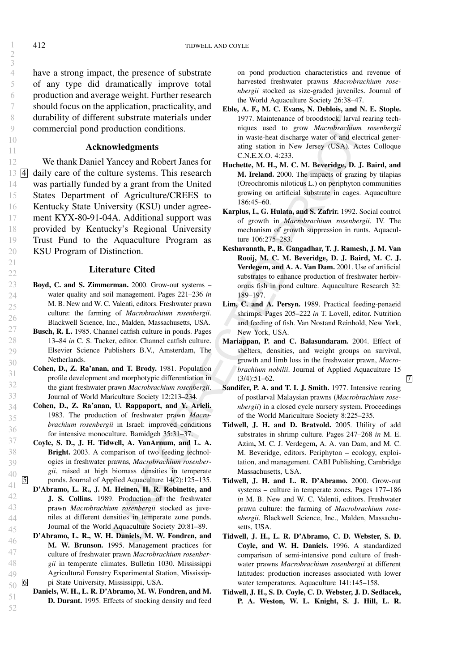have a strong impact, the presence of substrate of any type did dramatically improve total production and average weight. Further research should focus on the application, practicality, and durability of different substrate materials under commercial pond production conditions.

## Acknowledgments

We thank Daniel Yancey and Robert Janes for  $13 \underline{4}$  daily care of the culture systems. This research was partially funded by a grant from the United States Department of Agriculture/CREES to Kentucky State University (KSU) under agreement KYX-80-91-04A. Additional support was provided by Kentucky's Regional University Trust Fund to the Aquaculture Program as KSU Program of Distinction.

# Literature Cited

- Boyd, C. and S. Zimmerman. 2000. Grow-out systems water quality and soil management. Pages 221–236 in M. B. New and W. C. Valenti, editors. Freshwater prawn culture: the farming of Macrobrachium rosenbergii. Blackwell Science, Inc., Malden, Massachusetts, USA.
- Busch, R. L. 1985. Channel catfish culture in ponds. Pages 13–84 in C. S. Tucker, editor. Channel catfish culture. Elsevier Science Publishers B.V., Amsterdam, The Netherlands.
	- Cohen, D., Z. Ra'anan, and T. Brody. 1981. Population profile development and morphotypic differentiation in the giant freshwater prawn Macrobrachium rosenbergii. Journal of World Mariculture Society 12:213–234.
	- Cohen, D., Z. Ra'anan, U. Rappaport, and Y. Arieli. 1983. The production of freshwater prawn Macrobrachium rosenbergii in Israel: improved conditions for intensive monoculture. Bamidgeh 35:31–37.
- Coyle, S. D., J. H. Tidwell, A. VanArnum, and L. A. Bright. 2003. A comparison of two feeding technologies in freshwater prawns, Macrobrachium rosenbergii, raised at high biomass densities in temperate 5 ponds. Journal of Applied Aquaculture 14(2):125–135.
- D'Abramo, L. R., J. M. Heinen, H. R. Robinette, and J. S. Collins. 1989. Production of the freshwater prawn Macrobrachium rosenbergii stocked as juveniles at different densities in temperate zone ponds. Journal of the World Aquaculture Society 20:81–89.
- D'Abramo, L. R., W. H. Daniels, M. W. Fondren, and M. W. Brunson. 1995. Management practices for culture of freshwater prawn Macrobrachium rosenbergii in temperate climates. Bulletin 1030. Mississippi Agricultural Forestry Experimental Station, Mississippi State University, Mississippi, USA. 50 6
	- Daniels, W. H., L. R. D'Abramo, M. W. Fondren, and M. D. Durant. 1995. Effects of stocking density and feed

on pond production characteristics and revenue of harvested freshwater prawns Macrobrachium rosenbergii stocked as size-graded juveniles. Journal of the World Aquaculture Society 26:38–47.

- Eble, A. F., M. C. Evans, N. Deblois, and N. E. Stople. 1977. Maintenance of broodstock, larval rearing techniques used to grow Macrobrachium rosenbergii in waste-heat discharge water of and electrical generating station in New Jersey (USA). Actes Colloque C.N.E.X.O. 4:233.
- Huchette, M. H., M. C. M. Beveridge, D. J. Baird, and M. Ireland. 2000. The impacts of grazing by tilapias (Oreochromis niloticus L.) on periphyton communities growing on artificial substrate in cages. Aquaculture 186:45–60.
- Karplus, I., G. Hulata, and S. Zafrir. 1992. Social control of growth in Macrobrachium rosenbergii. IV. The mechanism of growth suppression in runts. Aquaculture 106:275–283.
- Keshavanath, P., B. Gangadhar, T. J. Ramesh, J. M. Van Rooij, M. C. M. Beveridge, D. J. Baird, M. C. J. Verdegem, and A. A. Van Dam. 2001. Use of artificial substrates to enhance production of freshwater herbivorous fish in pond culture. Aquaculture Research 32: 189–197.
- Lim, C. and A. Persyn. 1989. Practical feeding-penaeid shrimps. Pages 205–222 in T. Lovell, editor. Nutrition and feeding of fish. Van Nostand Reinhold, New York, New York, USA.
- Mariappan, P. and C. Balasundaram. 2004. Effect of shelters, densities, and weight groups on survival, growth and limb loss in the freshwater prawn, Macrobrachium nobilii. Journal of Applied Aquaculture 15  $(3/4):51-62.$  7
- Sandifer, P. A. and T. I. J. Smith. 1977. Intensive rearing of postlarval Malaysian prawns (Macrobrachium rosenbergii) in a closed cycle nursery system. Proceedings of the World Mariculture Society 8:225–235.
- Tidwell, J. H. and D. Bratvold. 2005. Utility of add substrates in shrimp culture. Pages 247–268 in M. E. Azim, M. C. J. Verdegem, A. A. van Dam, and M. C. M. Beveridge, editors. Periphyton – ecology, exploitation, and management. CABI Publishing, Cambridge Massachusetts, USA.
- Tidwell, J. H. and L. R. D'Abramo. 2000. Grow-out systems – culture in temperate zones. Pages 177–186 in M. B. New and W. C. Valenti, editors. Freshwater prawn culture: the farming of Macrobrachium rosenbergii. Blackwell Science, Inc., Malden, Massachusetts, USA.
- Tidwell, J. H., L. R. D'Abramo, C. D. Webster, S. D. Coyle, and W. H. Daniels. 1996. A standardized comparison of semi-intensive pond culture of freshwater prawns Macrobrachium rosenbergii at different latitudes: production increases associated with lower water temperatures. Aquaculture 141:145–158.
- Tidwell, J. H., S. D. Coyle, C. D. Webster, J. D. Sedlacek, P. A. Weston, W. L. Knight, S. J. Hill, L. R.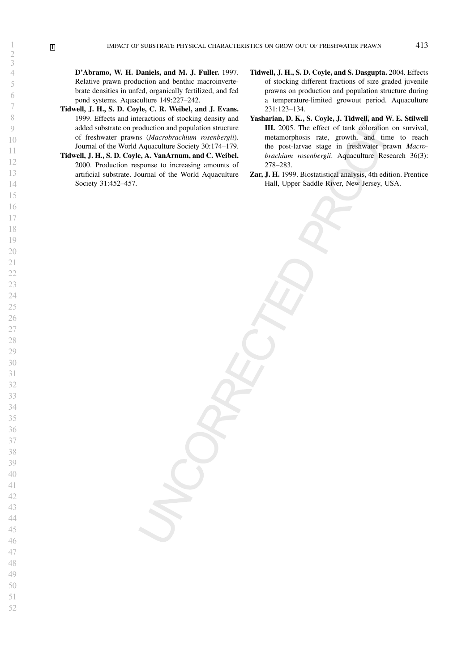D'Abramo, W. H. Daniels, and M. J. Fuller. 1997. Relative prawn production and benthic macroinvertebrate densities in unfed, organically fertilized, and fed pond systems. Aquaculture 149:227–242.

- Tidwell, J. H., S. D. Coyle, C. R. Weibel, and J. Evans. 1999. Effects and interactions of stocking density and added substrate on production and population structure of freshwater prawns (Macrobrachium rosenbergii). Journal of the World Aquaculture Society 30:174–179.
- Tidwell, J. H., S. D. Coyle, A. VanArnum, and C. Weibel. 2000. Production response to increasing amounts of artificial substrate. Journal of the World Aquaculture Society 31:452–457.
- Tidwell, J. H., S. D. Coyle, and S. Dasgupta. 2004. Effects of stocking different fractions of size graded juvenile prawns on production and population structure during a temperature-limited growout period. Aquaculture 231:123–134.
- Yasharian, D. K., S. Coyle, J. Tidwell, and W. E. Stilwell III. 2005. The effect of tank coloration on survival, metamorphosis rate, growth, and time to reach the post-larvae stage in freshwater prawn Macrobrachium rosenbergii. Aquaculture Research 36(3): 278–283.
- Zar, J. H. 1999. Biostatistical analysis, 4th edition. Prentice Hall, Upper Saddle River, New Jersey, USA.